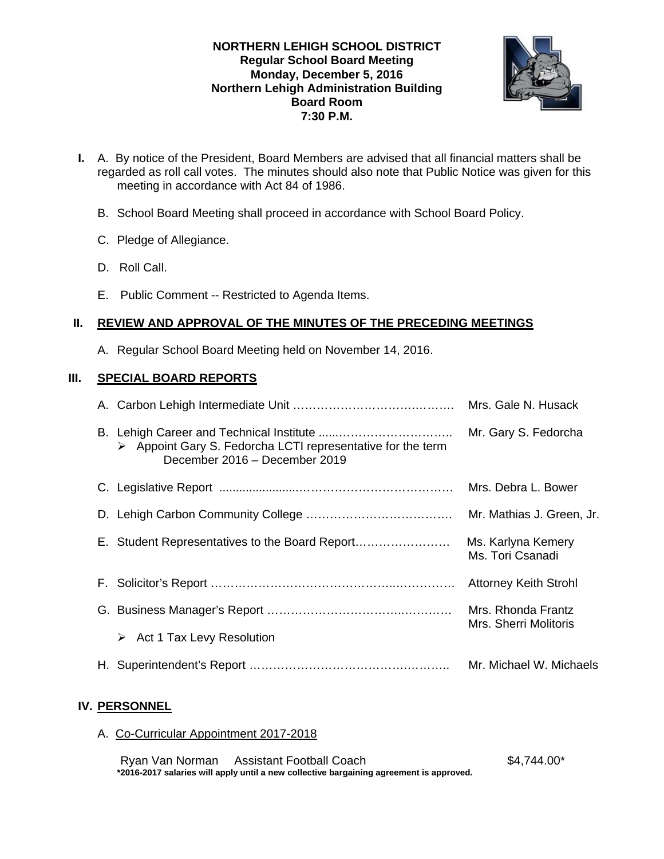### **NORTHERN LEHIGH SCHOOL DISTRICT Regular School Board Meeting Monday, December 5, 2016 Northern Lehigh Administration Building Board Room 7:30 P.M.**



- **I.** A. By notice of the President, Board Members are advised that all financial matters shall be regarded as roll call votes. The minutes should also note that Public Notice was given for this meeting in accordance with Act 84 of 1986.
	- B. School Board Meeting shall proceed in accordance with School Board Policy.
	- C. Pledge of Allegiance.
	- D. Roll Call.
	- E. Public Comment -- Restricted to Agenda Items.

#### **II. REVIEW AND APPROVAL OF THE MINUTES OF THE PRECEDING MEETINGS**

A. Regular School Board Meeting held on November 14, 2016.

#### **III. SPECIAL BOARD REPORTS**

|  | $\triangleright$ Appoint Gary S. Fedorcha LCTI representative for the term<br>December 2016 - December 2019 | Mr. Gary S. Fedorcha                        |
|--|-------------------------------------------------------------------------------------------------------------|---------------------------------------------|
|  |                                                                                                             | Mrs. Debra L. Bower                         |
|  |                                                                                                             | Mr. Mathias J. Green, Jr.                   |
|  | E. Student Representatives to the Board Report                                                              | Ms. Karlyna Kemery<br>Ms. Tori Csanadi      |
|  |                                                                                                             | <b>Attorney Keith Strohl</b>                |
|  |                                                                                                             | Mrs. Rhonda Frantz<br>Mrs. Sherri Molitoris |
|  | Act 1 Tax Levy Resolution<br>➤                                                                              |                                             |
|  |                                                                                                             | Mr. Michael W. Michaels                     |

## **IV. PERSONNEL**

A. Co-Curricular Appointment 2017-2018

Ryan Van Norman Assistant Football Coach **\$4,744.00\*** \$4,744.00\* **\*2016-2017 salaries will apply until a new collective bargaining agreement is approved.**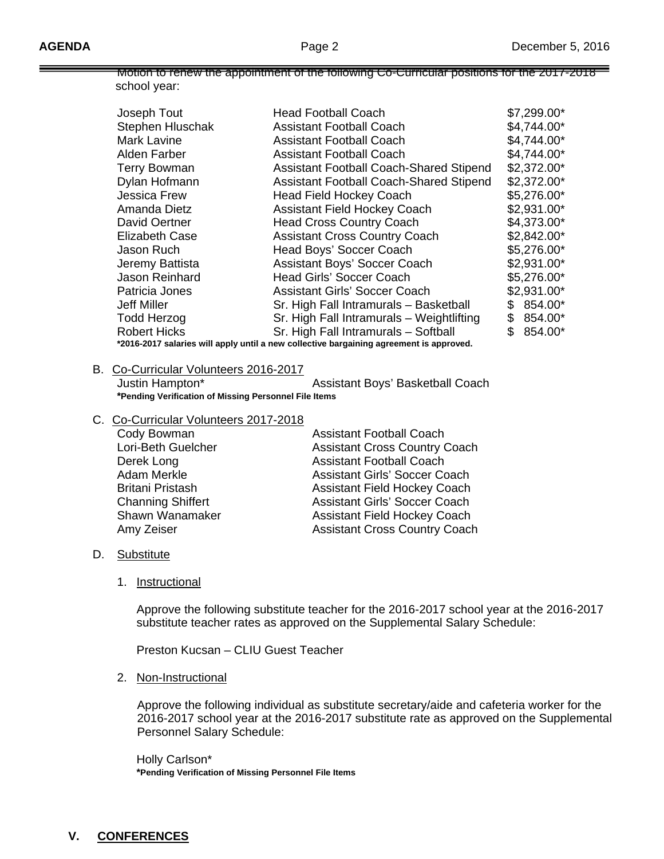Motion to renew the appointment of the following Co-Curricular positions for the 2017-2018 school year:

| Joseph Tout                                                                             | <b>Head Football Coach</b>                     |    | $$7,299.00*$ |  |
|-----------------------------------------------------------------------------------------|------------------------------------------------|----|--------------|--|
| <b>Stephen Hluschak</b>                                                                 | <b>Assistant Football Coach</b>                |    | \$4,744.00*  |  |
| <b>Mark Lavine</b>                                                                      | <b>Assistant Football Coach</b>                |    | \$4,744.00*  |  |
| Alden Farber                                                                            | Assistant Football Coach                       |    | \$4,744.00*  |  |
| <b>Terry Bowman</b>                                                                     | <b>Assistant Football Coach-Shared Stipend</b> |    | $$2,372.00*$ |  |
| Dylan Hofmann                                                                           | <b>Assistant Football Coach-Shared Stipend</b> |    | $$2,372.00*$ |  |
| <b>Jessica Frew</b>                                                                     | <b>Head Field Hockey Coach</b>                 |    | \$5,276.00*  |  |
| Amanda Dietz                                                                            | <b>Assistant Field Hockey Coach</b>            |    | \$2,931.00*  |  |
| <b>David Oertner</b>                                                                    | <b>Head Cross Country Coach</b>                |    | \$4,373.00*  |  |
| <b>Elizabeth Case</b>                                                                   | <b>Assistant Cross Country Coach</b>           |    | $$2,842.00*$ |  |
| Jason Ruch                                                                              | Head Boys' Soccer Coach                        |    | \$5,276.00*  |  |
| Jeremy Battista                                                                         | <b>Assistant Boys' Soccer Coach</b>            |    | $$2,931.00*$ |  |
| Jason Reinhard                                                                          | <b>Head Girls' Soccer Coach</b>                |    | \$5,276.00*  |  |
| Patricia Jones                                                                          | <b>Assistant Girls' Soccer Coach</b>           |    | \$2,931.00*  |  |
| <b>Jeff Miller</b>                                                                      | Sr. High Fall Intramurals - Basketball         | S. | 854.00*      |  |
| <b>Todd Herzog</b>                                                                      | Sr. High Fall Intramurals - Weightlifting      | \$ | 854.00*      |  |
| <b>Robert Hicks</b>                                                                     | Sr. High Fall Intramurals - Softball           | \$ | 854.00*      |  |
| *2016-2017 salaries will apply until a new collective bargaining agreement is approved. |                                                |    |              |  |

#### B. Co-Curricular Volunteers 2016-2017

Justin Hampton\* Assistant Boys' Basketball Coach **\*Pending Verification of Missing Personnel File Items**

#### C. Co-Curricular Volunteers 2017-2018

| Cody Bowman              | <b>Assistant Football Coach</b>      |
|--------------------------|--------------------------------------|
| Lori-Beth Guelcher       | <b>Assistant Cross Country Coach</b> |
| Derek Long               | <b>Assistant Football Coach</b>      |
| Adam Merkle              | <b>Assistant Girls' Soccer Coach</b> |
| <b>Britani Pristash</b>  | <b>Assistant Field Hockey Coach</b>  |
| <b>Channing Shiffert</b> | <b>Assistant Girls' Soccer Coach</b> |
| Shawn Wanamaker          | <b>Assistant Field Hockey Coach</b>  |
| Amy Zeiser               | <b>Assistant Cross Country Coach</b> |

#### D. Substitute

1. Instructional

Approve the following substitute teacher for the 2016-2017 school year at the 2016-2017 substitute teacher rates as approved on the Supplemental Salary Schedule:

Preston Kucsan – CLIU Guest Teacher

#### 2. Non-Instructional

Approve the following individual as substitute secretary/aide and cafeteria worker for the 2016-2017 school year at the 2016-2017 substitute rate as approved on the Supplemental Personnel Salary Schedule:

 Holly Carlson\* **\*Pending Verification of Missing Personnel File Items**

# **V. CONFERENCES**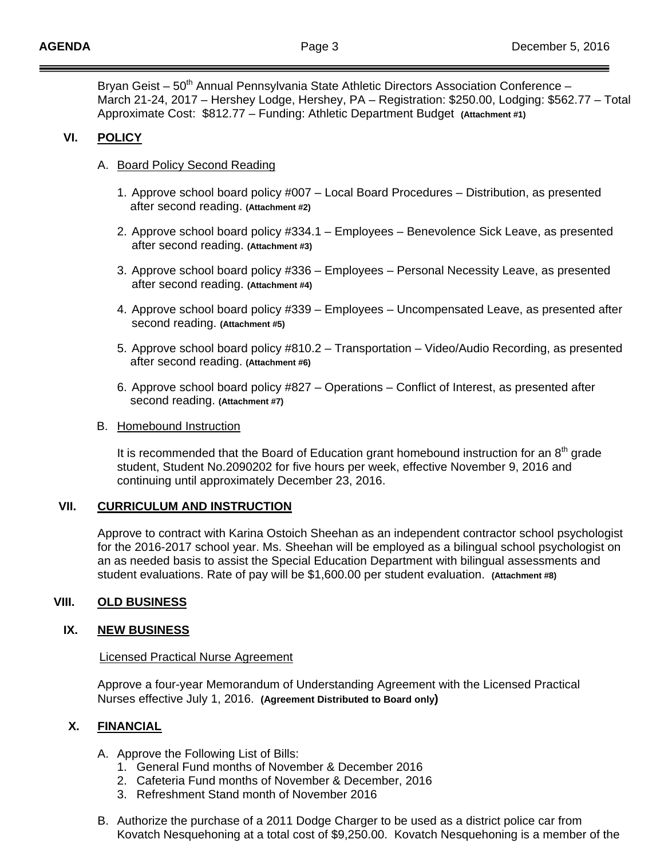Bryan Geist – 50<sup>th</sup> Annual Pennsylvania State Athletic Directors Association Conference – March 21-24, 2017 – Hershey Lodge, Hershey, PA – Registration: \$250.00, Lodging: \$562.77 – Total Approximate Cost: \$812.77 – Funding: Athletic Department Budget **(Attachment #1)** 

## **VI. POLICY**

## A. Board Policy Second Reading

- 1. Approve school board policy #007 Local Board Procedures Distribution, as presented after second reading. **(Attachment #2)**
- 2. Approve school board policy #334.1 Employees Benevolence Sick Leave, as presented after second reading. **(Attachment #3)**
- 3. Approve school board policy #336 Employees Personal Necessity Leave, as presented after second reading. **(Attachment #4)**
- 4. Approve school board policy #339 Employees Uncompensated Leave, as presented after second reading. **(Attachment #5)**
- 5. Approve school board policy #810.2 Transportation Video/Audio Recording, as presented after second reading. **(Attachment #6)**
- 6. Approve school board policy #827 Operations Conflict of Interest, as presented after second reading. **(Attachment #7)**

#### B. Homebound Instruction

It is recommended that the Board of Education grant homebound instruction for an  $8<sup>th</sup>$  grade student, Student No.2090202 for five hours per week, effective November 9, 2016 and continuing until approximately December 23, 2016.

## **VII. CURRICULUM AND INSTRUCTION**

Approve to contract with Karina Ostoich Sheehan as an independent contractor school psychologist for the 2016-2017 school year. Ms. Sheehan will be employed as a bilingual school psychologist on an as needed basis to assist the Special Education Department with bilingual assessments and student evaluations. Rate of pay will be \$1,600.00 per student evaluation. **(Attachment #8)**

## **VIII. OLD BUSINESS**

## **IX. NEW BUSINESS**

#### Licensed Practical Nurse Agreement

Approve a four-year Memorandum of Understanding Agreement with the Licensed Practical Nurses effective July 1, 2016. **(Agreement Distributed to Board only)** 

#### **X. FINANCIAL**

- A. Approve the Following List of Bills:
	- 1. General Fund months of November & December 2016
	- 2. Cafeteria Fund months of November & December, 2016
	- 3. Refreshment Stand month of November 2016
- B. Authorize the purchase of a 2011 Dodge Charger to be used as a district police car from Kovatch Nesquehoning at a total cost of \$9,250.00. Kovatch Nesquehoning is a member of the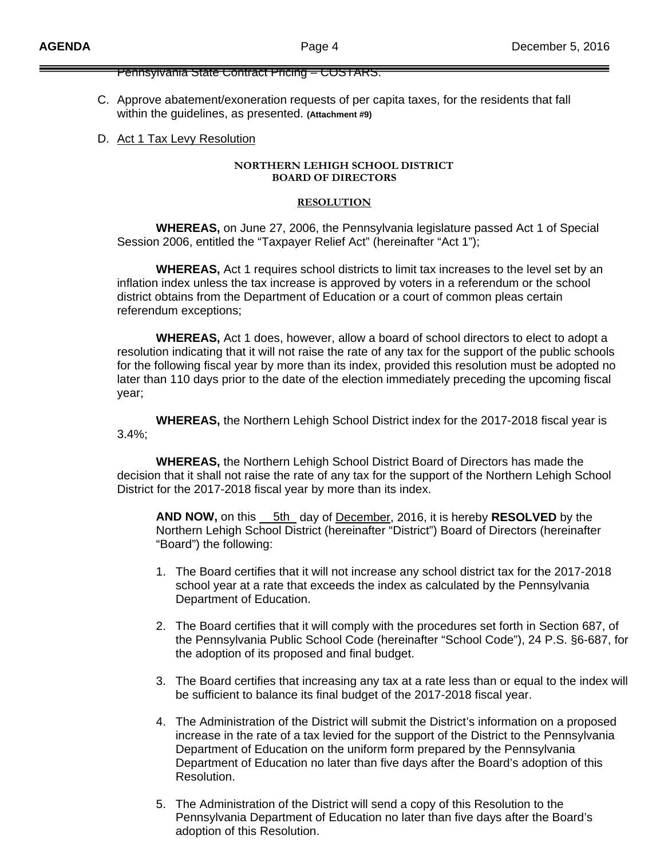Pennsylvania State Contract Pricing – COSTARS.

- C. Approve abatement/exoneration requests of per capita taxes, for the residents that fall within the guidelines, as presented. **(Attachment #9)**
- D. Act 1 Tax Levy Resolution

#### **NORTHERN LEHIGH SCHOOL DISTRICT BOARD OF DIRECTORS**

#### **RESOLUTION**

 **WHEREAS,** on June 27, 2006, the Pennsylvania legislature passed Act 1 of Special Session 2006, entitled the "Taxpayer Relief Act" (hereinafter "Act 1");

 **WHEREAS,** Act 1 requires school districts to limit tax increases to the level set by an inflation index unless the tax increase is approved by voters in a referendum or the school district obtains from the Department of Education or a court of common pleas certain referendum exceptions;

 **WHEREAS,** Act 1 does, however, allow a board of school directors to elect to adopt a resolution indicating that it will not raise the rate of any tax for the support of the public schools for the following fiscal year by more than its index, provided this resolution must be adopted no later than 110 days prior to the date of the election immediately preceding the upcoming fiscal year;

 **WHEREAS,** the Northern Lehigh School District index for the 2017-2018 fiscal year is 3.4%;

 **WHEREAS,** the Northern Lehigh School District Board of Directors has made the decision that it shall not raise the rate of any tax for the support of the Northern Lehigh School District for the 2017-2018 fiscal year by more than its index.

 **AND NOW,** on this 5th day of December, 2016, it is hereby **RESOLVED** by the Northern Lehigh School District (hereinafter "District") Board of Directors (hereinafter "Board") the following:

- 1. The Board certifies that it will not increase any school district tax for the 2017-2018 school year at a rate that exceeds the index as calculated by the Pennsylvania Department of Education.
- 2. The Board certifies that it will comply with the procedures set forth in Section 687, of the Pennsylvania Public School Code (hereinafter "School Code"), 24 P.S. §6-687, for the adoption of its proposed and final budget.
- 3. The Board certifies that increasing any tax at a rate less than or equal to the index will be sufficient to balance its final budget of the 2017-2018 fiscal year.
- 4. The Administration of the District will submit the District's information on a proposed increase in the rate of a tax levied for the support of the District to the Pennsylvania Department of Education on the uniform form prepared by the Pennsylvania Department of Education no later than five days after the Board's adoption of this Resolution.
- 5. The Administration of the District will send a copy of this Resolution to the Pennsylvania Department of Education no later than five days after the Board's adoption of this Resolution.